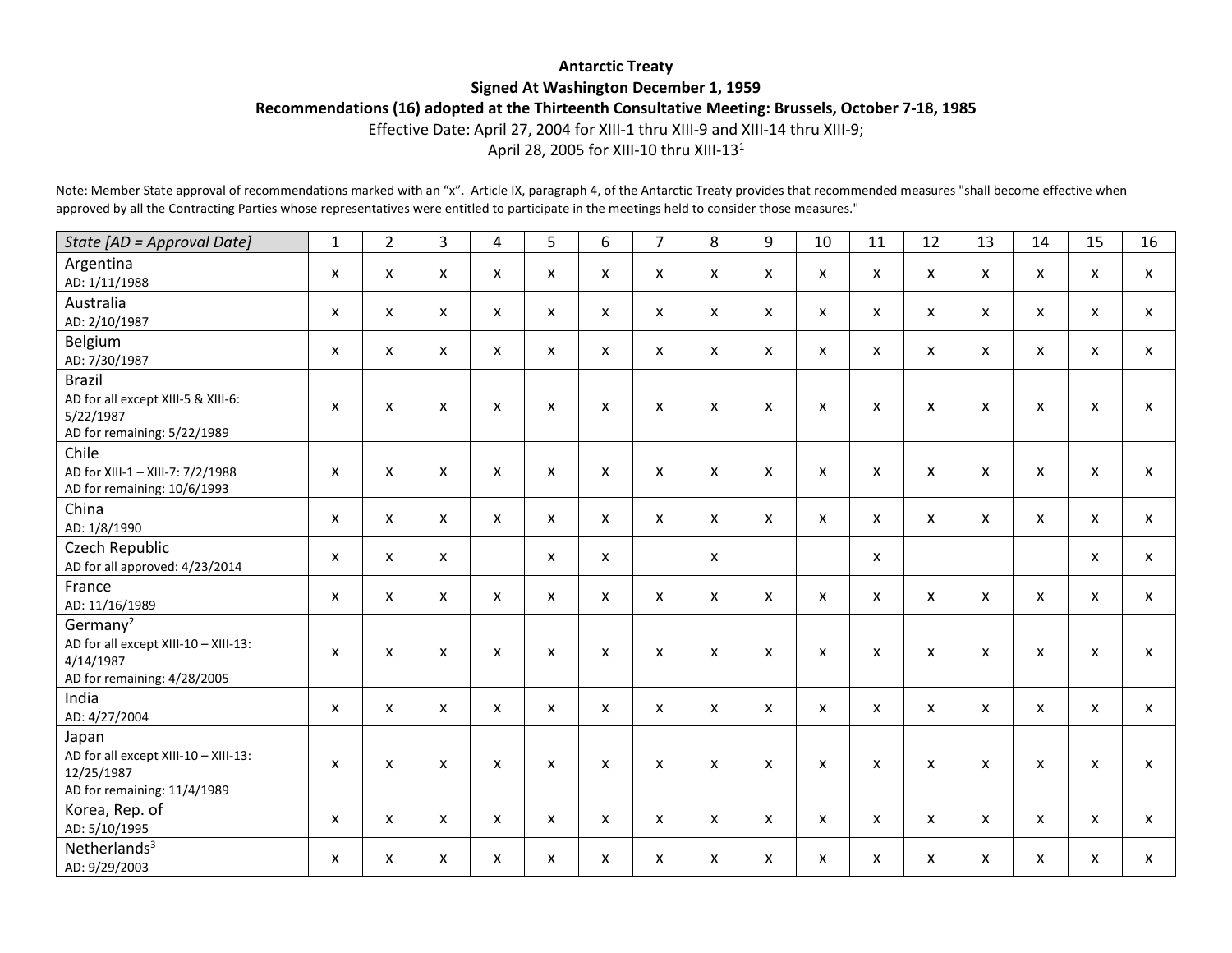## **Antarctic Treaty Signed At Washington December 1, 1959 Recommendations (16) adopted at the Thirteenth Consultative Meeting: Brussels, October 7-18, 1985**

Effective Date: April 27, 2004 for XIII-1 thru XIII-9 and XIII-14 thru XIII-9;

April 28, 2005 for XIII-10 thru XIII-13<sup>1</sup>

Note: Member State approval of recommendations marked with an "x". Article IX, paragraph 4, of the Antarctic Treaty provides that recommended measures "shall become effective when approved by all the Contracting Parties whose representatives were entitled to participate in the meetings held to consider those measures."

| State [AD = Approval Date]                                                                               | $\mathbf{1}$ | $\overline{2}$            | $\overline{3}$ | 4                         | 5            | 6            | $\overline{7}$            | 8            | 9                         | 10           | 11                        | 12                 | 13           | 14                        | 15                        | 16                        |
|----------------------------------------------------------------------------------------------------------|--------------|---------------------------|----------------|---------------------------|--------------|--------------|---------------------------|--------------|---------------------------|--------------|---------------------------|--------------------|--------------|---------------------------|---------------------------|---------------------------|
| Argentina<br>AD: 1/11/1988                                                                               | X            | $\mathsf{x}$              | X              | $\mathsf{x}$              | $\mathsf{x}$ | X            | $\mathsf{x}$              | X            | X                         | $\mathsf{x}$ | $\mathsf{x}$              | X                  | X            | $\mathsf{x}$              | $\mathsf{x}$              | $\mathsf{x}$              |
| Australia<br>AD: 2/10/1987                                                                               | X            | $\mathsf{x}$              | X              | X                         | X            | X            | $\mathsf{x}$              | X            | $\boldsymbol{\mathsf{x}}$ | X            | $\boldsymbol{\mathsf{x}}$ | $\mathsf{x}$       | X            | $\mathsf{x}$              | X                         | $\mathsf{x}$              |
| Belgium<br>AD: 7/30/1987                                                                                 | X            | X                         | X              | $\pmb{\mathsf{X}}$        | X            | X            | $\mathsf{x}$              | X            | $\boldsymbol{\mathsf{x}}$ | X            | $\pmb{\mathsf{x}}$        | X                  | X            | $\boldsymbol{\mathsf{x}}$ | $\boldsymbol{\mathsf{x}}$ | $\boldsymbol{\mathsf{X}}$ |
| <b>Brazil</b><br>AD for all except XIII-5 & XIII-6:<br>5/22/1987<br>AD for remaining: 5/22/1989          | X            | $\boldsymbol{\mathsf{x}}$ | X              | $\boldsymbol{\mathsf{x}}$ | X            | X            | X                         | X            | $\boldsymbol{\mathsf{x}}$ | X            | $\boldsymbol{\mathsf{x}}$ | $\pmb{\mathsf{x}}$ | X            | X                         | X                         | $\mathsf{x}$              |
| Chile<br>AD for XIII-1 - XIII-7: 7/2/1988<br>AD for remaining: 10/6/1993                                 | X            | X                         | X              | X                         | X            | X            | $\boldsymbol{\mathsf{x}}$ | X            | $\boldsymbol{\mathsf{x}}$ | X            | $\boldsymbol{\mathsf{x}}$ | $\mathsf{x}$       | X            | X                         | X                         | X                         |
| China<br>AD: 1/8/1990                                                                                    | X            | $\mathsf{x}$              | X              | $\mathsf{x}$              | $\mathsf{x}$ | X            | $\mathsf{x}$              | X            | $\mathsf{x}$              | $\mathsf{x}$ | X                         | $\mathsf{x}$       | $\mathsf{x}$ | $\mathsf{x}$              | $\mathsf{x}$              | X                         |
| Czech Republic<br>AD for all approved: 4/23/2014                                                         | X            | $\mathsf{x}$              | X              |                           | $\mathsf{x}$ | X            |                           | X            |                           |              | $\mathsf{x}$              |                    |              |                           | $\mathsf{x}$              | $\mathsf{x}$              |
| France<br>AD: 11/16/1989                                                                                 | X            | $\pmb{\chi}$              | X              | $\pmb{\mathsf{X}}$        | X            | X            | $\boldsymbol{\mathsf{x}}$ | $\mathsf{x}$ | $\boldsymbol{\mathsf{x}}$ | X            | $\boldsymbol{\mathsf{x}}$ | X                  | X            | $\boldsymbol{\mathsf{x}}$ | $\pmb{\mathsf{X}}$        | $\mathsf{x}$              |
| Germany <sup>2</sup><br>AD for all except XIII-10 - XIII-13:<br>4/14/1987<br>AD for remaining: 4/28/2005 | X            | $\boldsymbol{\mathsf{x}}$ | $\mathsf{x}$   | $\mathsf{x}$              | $\mathsf{x}$ | $\mathsf{x}$ | $\boldsymbol{\mathsf{x}}$ | $\mathsf{x}$ | $\boldsymbol{\mathsf{x}}$ | $\mathsf{x}$ | $\mathsf{x}$              | $\pmb{\mathsf{x}}$ | X            | $\mathsf{x}$              | $\boldsymbol{\mathsf{x}}$ | $\mathsf{x}$              |
| India<br>AD: 4/27/2004                                                                                   | X            | X                         | X              | X                         | $\mathsf{x}$ | X            | $\mathsf{x}$              | X            | $\boldsymbol{\mathsf{x}}$ | X            | $\mathsf{x}$              | X                  | X            | $\boldsymbol{\mathsf{x}}$ | $\mathsf{x}$              | $\mathsf{x}$              |
| Japan<br>AD for all except XIII-10 - XIII-13:<br>12/25/1987<br>AD for remaining: 11/4/1989               | X            | $\boldsymbol{\mathsf{x}}$ | X              | X                         | X            | X            | $\boldsymbol{\mathsf{x}}$ | X            | $\boldsymbol{\mathsf{x}}$ | X            | $\boldsymbol{\mathsf{x}}$ | $\mathsf{x}$       | X            | X                         | $\pmb{\mathsf{X}}$        | X                         |
| Korea, Rep. of<br>AD: 5/10/1995                                                                          | $\mathsf{x}$ | $\mathsf{x}$              | X              | $\mathsf{x}$              | $\mathsf{x}$ | $\mathsf{x}$ | $\mathsf{x}$              | $\mathsf{x}$ | $\mathsf{x}$              | X            | $\mathsf{x}$              | X                  | X            | $\mathsf{x}$              | $\mathsf{x}$              | $\mathsf{x}$              |
| Netherlands <sup>3</sup><br>AD: 9/29/2003                                                                | X            | X                         | X              | X                         | X            | X            | $\boldsymbol{\mathsf{x}}$ | X            | $\boldsymbol{\mathsf{x}}$ | X            | X                         | X                  | X            | X                         | X                         | X                         |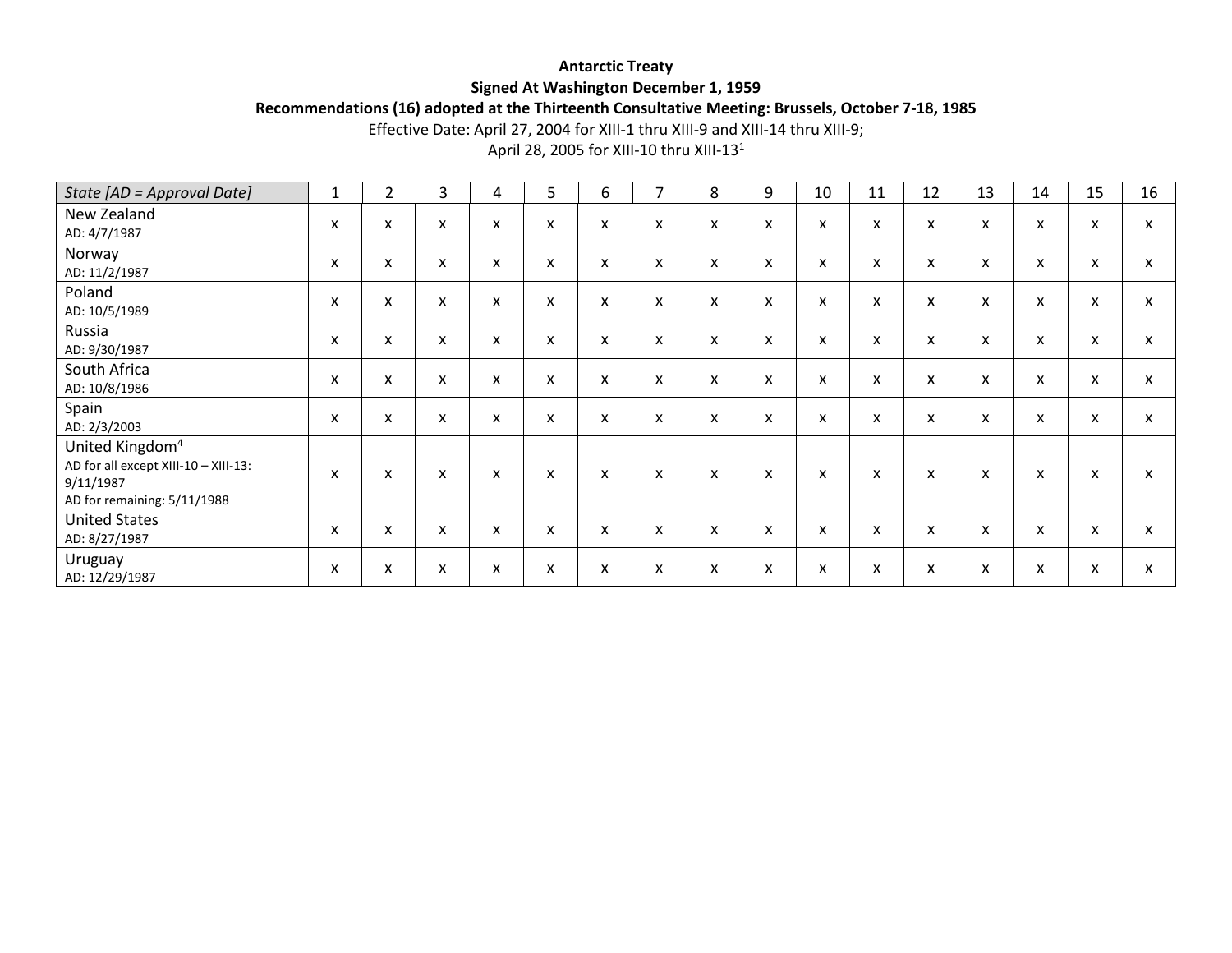## **Antarctic Treaty Signed At Washington December 1, 1959**

**Recommendations (16) adopted at the Thirteenth Consultative Meeting: Brussels, October 7-18, 1985**

Effective Date: April 27, 2004 for XIII-1 thru XIII-9 and XIII-14 thru XIII-9;

April 28, 2005 for XIII-10 thru XIII-13<sup>1</sup>

| State [AD = Approval Date]                                                                                      | $\mathbf{1}$              | $\overline{2}$            | 3 | 4                         | 5 | 6                         | 7 | 8 | 9                         | 10                        | 11           | 12 | 13 | 14                        | 15 | 16 |
|-----------------------------------------------------------------------------------------------------------------|---------------------------|---------------------------|---|---------------------------|---|---------------------------|---|---|---------------------------|---------------------------|--------------|----|----|---------------------------|----|----|
| New Zealand<br>AD: 4/7/1987                                                                                     | X                         | X                         | x | X                         | X | X                         | X | x | $\boldsymbol{\mathsf{x}}$ | X                         | X            | X  | X  | $\boldsymbol{\mathsf{x}}$ | X  | X  |
| Norway<br>AD: 11/2/1987                                                                                         | X                         | $\boldsymbol{\mathsf{x}}$ | X | X                         | x | X                         | X | X | $\boldsymbol{\mathsf{x}}$ | X                         | X            | X  | X  | X                         | X  | X  |
| Poland<br>AD: 10/5/1989                                                                                         | X                         | X                         | X | X                         | X | X                         | X | X | $\boldsymbol{\mathsf{x}}$ | X                         | X            | X  | x  | X                         | X  | X  |
| Russia<br>AD: 9/30/1987                                                                                         | $\boldsymbol{\mathsf{x}}$ | X                         | X | X                         | x | X                         | X | X | $\boldsymbol{\mathsf{x}}$ | X                         | x            | X  | X  | $\boldsymbol{\mathsf{x}}$ | X  | X  |
| South Africa<br>AD: 10/8/1986                                                                                   | X                         | X                         | X | X                         | x | X                         | X | X | $\boldsymbol{\mathsf{x}}$ | $\boldsymbol{\mathsf{x}}$ | X            | X  | X  | X                         | X  | X  |
| Spain<br>AD: 2/3/2003                                                                                           | X                         | X                         | X | $\boldsymbol{\mathsf{x}}$ | x | X                         | X | X | $\boldsymbol{\mathsf{x}}$ | x                         | x            | X  | X  | $\boldsymbol{\mathsf{x}}$ | X  | X  |
| United Kingdom <sup>4</sup><br>AD for all except XIII-10 - XIII-13:<br>9/11/1987<br>AD for remaining: 5/11/1988 | $\boldsymbol{\mathsf{x}}$ | X                         | X | X                         | X | $\boldsymbol{\mathsf{x}}$ | X | X | X                         | X                         | $\mathsf{x}$ | X  | X  | $\boldsymbol{\mathsf{x}}$ | X  | X  |
| <b>United States</b><br>AD: 8/27/1987                                                                           | $\boldsymbol{\mathsf{x}}$ | X                         | X | X                         | X | X                         | X | X | X                         | X                         | X            | X  | X  | $\boldsymbol{\mathsf{x}}$ | X  | X  |
| Uruguay<br>AD: 12/29/1987                                                                                       | X                         | X                         | X | X                         | x | X                         | X | X | X                         | X                         | x            | X  | X  | X                         | X  | X  |